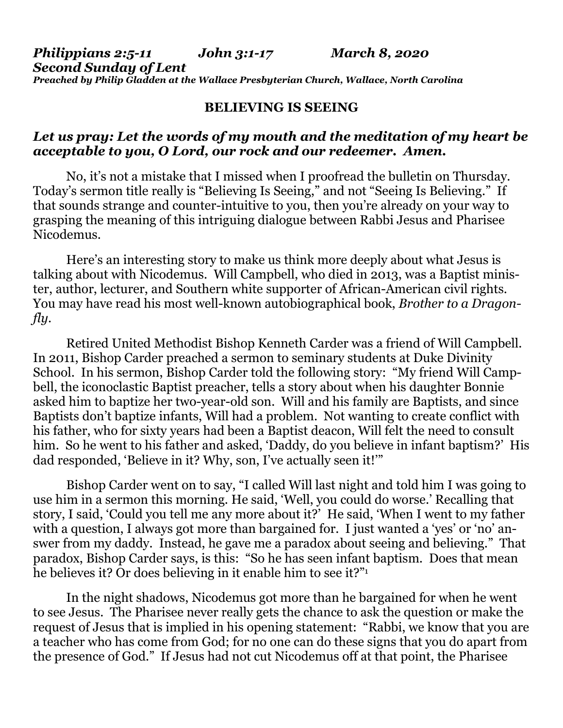*Philippians 2:5-11 John 3:1-17 March 8, 2020 Second Sunday of Lent Preached by Philip Gladden at the Wallace Presbyterian Church, Wallace, North Carolina*

## **BELIEVING IS SEEING**

## *Let us pray: Let the words of my mouth and the meditation of my heart be acceptable to you, O Lord, our rock and our redeemer. Amen.*

No, it's not a mistake that I missed when I proofread the bulletin on Thursday. Today's sermon title really is "Believing Is Seeing," and not "Seeing Is Believing." If that sounds strange and counter-intuitive to you, then you're already on your way to grasping the meaning of this intriguing dialogue between Rabbi Jesus and Pharisee Nicodemus.

Here's an interesting story to make us think more deeply about what Jesus is talking about with Nicodemus. Will Campbell, who died in 2013, was a Baptist minister, author, lecturer, and Southern white supporter of African-American civil rights. You may have read his most well-known autobiographical book, *Brother to a Dragonfly*.

Retired United Methodist Bishop Kenneth Carder was a friend of Will Campbell. In 2011, Bishop Carder preached a sermon to seminary students at Duke Divinity School. In his sermon, Bishop Carder told the following story: "My friend Will Campbell, the iconoclastic Baptist preacher, tells a story about when his daughter Bonnie asked him to baptize her two-year-old son. Will and his family are Baptists, and since Baptists don't baptize infants, Will had a problem. Not wanting to create conflict with his father, who for sixty years had been a Baptist deacon, Will felt the need to consult him. So he went to his father and asked, 'Daddy, do you believe in infant baptism?' His dad responded, 'Believe in it? Why, son, I've actually seen it!'"

Bishop Carder went on to say, "I called Will last night and told him I was going to use him in a sermon this morning. He said, 'Well, you could do worse.' Recalling that story, I said, 'Could you tell me any more about it?' He said, 'When I went to my father with a question, I always got more than bargained for. I just wanted a 'yes' or 'no' answer from my daddy. Instead, he gave me a paradox about seeing and believing." That paradox, Bishop Carder says, is this: "So he has seen infant baptism. Does that mean he believes it? Or does believing in it enable him to see it?"

In the night shadows, Nicodemus got more than he bargained for when he went to see Jesus. The Pharisee never really gets the chance to ask the question or make the request of Jesus that is implied in his opening statement: "Rabbi, we know that you are a teacher who has come from God; for no one can do these signs that you do apart from the presence of God." If Jesus had not cut Nicodemus off at that point, the Pharisee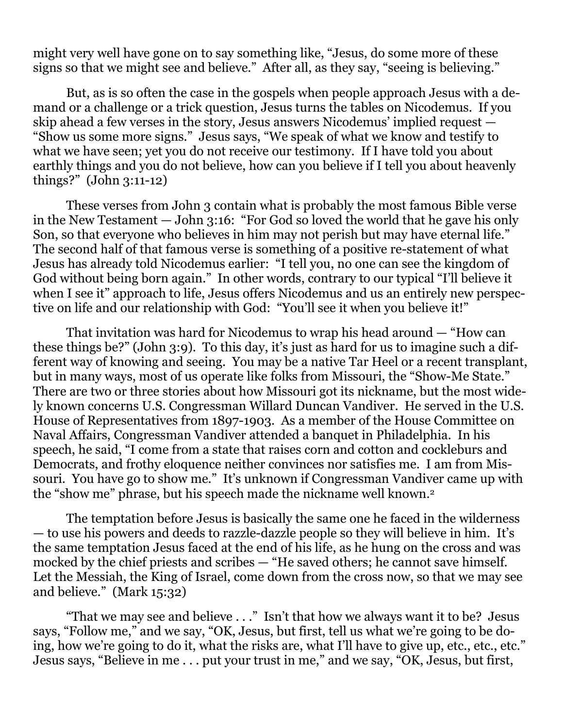might very well have gone on to say something like, "Jesus, do some more of these signs so that we might see and believe." After all, as they say, "seeing is believing."

But, as is so often the case in the gospels when people approach Jesus with a demand or a challenge or a trick question, Jesus turns the tables on Nicodemus. If you skip ahead a few verses in the story, Jesus answers Nicodemus' implied request — "Show us some more signs." Jesus says, "We speak of what we know and testify to what we have seen; yet you do not receive our testimony. If I have told you about earthly things and you do not believe, how can you believe if I tell you about heavenly things?" (John 3:11-12)

These verses from John 3 contain what is probably the most famous Bible verse in the New Testament — John 3:16: "For God so loved the world that he gave his only Son, so that everyone who believes in him may not perish but may have eternal life." The second half of that famous verse is something of a positive re-statement of what Jesus has already told Nicodemus earlier: "I tell you, no one can see the kingdom of God without being born again." In other words, contrary to our typical "I'll believe it when I see it" approach to life, Jesus offers Nicodemus and us an entirely new perspective on life and our relationship with God: "You'll see it when you believe it!"

That invitation was hard for Nicodemus to wrap his head around — "How can these things be?" (John 3:9). To this day, it's just as hard for us to imagine such a different way of knowing and seeing. You may be a native Tar Heel or a recent transplant, but in many ways, most of us operate like folks from Missouri, the "Show-Me State." There are two or three stories about how Missouri got its nickname, but the most widely known concerns U.S. Congressman Willard Duncan Vandiver. He served in the U.S. House of Representatives from 1897-1903. As a member of the House Committee on Naval Affairs, Congressman Vandiver attended a banquet in Philadelphia. In his speech, he said, "I come from a state that raises corn and cotton and cockleburs and Democrats, and frothy eloquence neither convinces nor satisfies me. I am from Missouri. You have go to show me." It's unknown if Congressman Vandiver came up with the "show me" phrase, but his speech made the nickname well known.<sup>2</sup>

The temptation before Jesus is basically the same one he faced in the wilderness — to use his powers and deeds to razzle-dazzle people so they will believe in him. It's the same temptation Jesus faced at the end of his life, as he hung on the cross and was mocked by the chief priests and scribes — "He saved others; he cannot save himself. Let the Messiah, the King of Israel, come down from the cross now, so that we may see and believe." (Mark 15:32)

"That we may see and believe . . ." Isn't that how we always want it to be? Jesus says, "Follow me," and we say, "OK, Jesus, but first, tell us what we're going to be doing, how we're going to do it, what the risks are, what I'll have to give up, etc., etc., etc." Jesus says, "Believe in me . . . put your trust in me," and we say, "OK, Jesus, but first,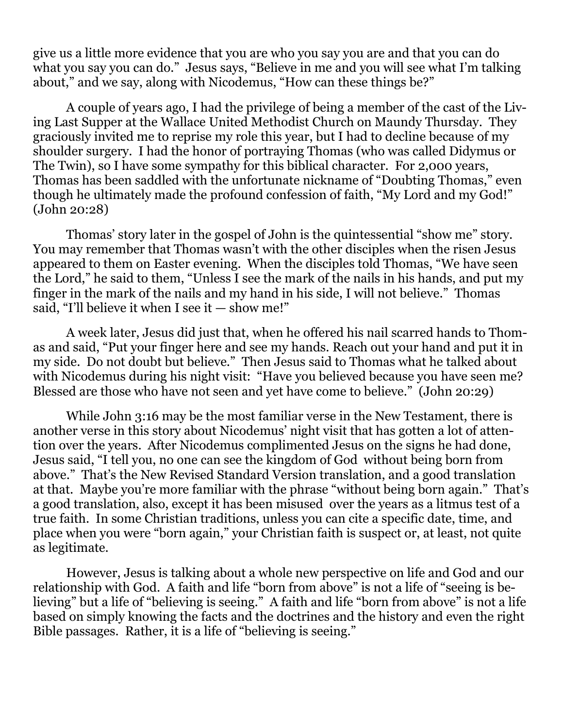give us a little more evidence that you are who you say you are and that you can do what you say you can do." Jesus says, "Believe in me and you will see what I'm talking about," and we say, along with Nicodemus, "How can these things be?"

A couple of years ago, I had the privilege of being a member of the cast of the Living Last Supper at the Wallace United Methodist Church on Maundy Thursday. They graciously invited me to reprise my role this year, but I had to decline because of my shoulder surgery. I had the honor of portraying Thomas (who was called Didymus or The Twin), so I have some sympathy for this biblical character. For 2,000 years, Thomas has been saddled with the unfortunate nickname of "Doubting Thomas," even though he ultimately made the profound confession of faith, "My Lord and my God!" (John 20:28)

Thomas' story later in the gospel of John is the quintessential "show me" story. You may remember that Thomas wasn't with the other disciples when the risen Jesus appeared to them on Easter evening. When the disciples told Thomas, "We have seen the Lord," he said to them, "Unless I see the mark of the nails in his hands, and put my finger in the mark of the nails and my hand in his side, I will not believe." Thomas said, "I'll believe it when I see it  $-$  show me!"

A week later, Jesus did just that, when he offered his nail scarred hands to Thomas and said, "Put your finger here and see my hands. Reach out your hand and put it in my side. Do not doubt but believe." Then Jesus said to Thomas what he talked about with Nicodemus during his night visit: "Have you believed because you have seen me? Blessed are those who have not seen and yet have come to believe." (John 20:29)

While John 3:16 may be the most familiar verse in the New Testament, there is another verse in this story about Nicodemus' night visit that has gotten a lot of attention over the years. After Nicodemus complimented Jesus on the signs he had done, Jesus said, "I tell you, no one can see the kingdom of God without being born from above." That's the New Revised Standard Version translation, and a good translation at that. Maybe you're more familiar with the phrase "without being born again." That's a good translation, also, except it has been misused over the years as a litmus test of a true faith. In some Christian traditions, unless you can cite a specific date, time, and place when you were "born again," your Christian faith is suspect or, at least, not quite as legitimate.

However, Jesus is talking about a whole new perspective on life and God and our relationship with God. A faith and life "born from above" is not a life of "seeing is believing" but a life of "believing is seeing." A faith and life "born from above" is not a life based on simply knowing the facts and the doctrines and the history and even the right Bible passages. Rather, it is a life of "believing is seeing."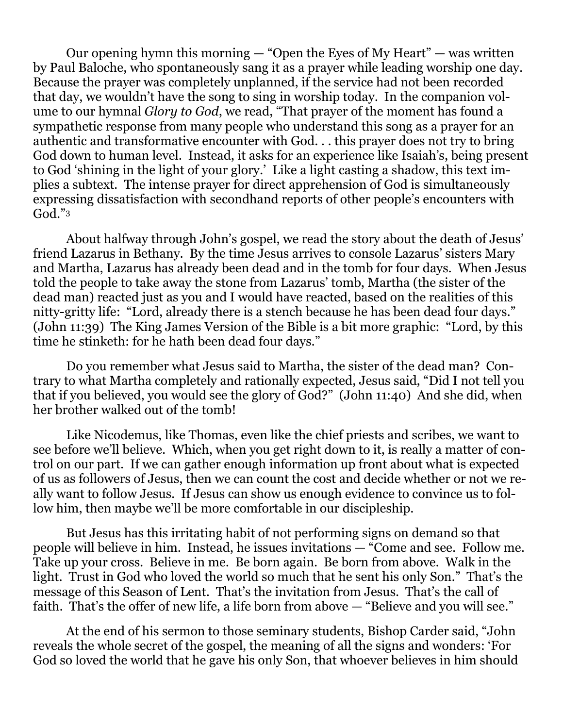Our opening hymn this morning  $-$  "Open the Eyes of My Heart"  $-$  was written by Paul Baloche, who spontaneously sang it as a prayer while leading worship one day. Because the prayer was completely unplanned, if the service had not been recorded that day, we wouldn't have the song to sing in worship today. In the companion volume to our hymnal *Glory to God*, we read, "That prayer of the moment has found a sympathetic response from many people who understand this song as a prayer for an authentic and transformative encounter with God. . . this prayer does not try to bring God down to human level. Instead, it asks for an experience like Isaiah's, being present to God 'shining in the light of your glory.' Like a light casting a shadow, this text implies a subtext. The intense prayer for direct apprehension of God is simultaneously expressing dissatisfaction with secondhand reports of other people's encounters with  $God.^"3$ 

About halfway through John's gospel, we read the story about the death of Jesus' friend Lazarus in Bethany. By the time Jesus arrives to console Lazarus' sisters Mary and Martha, Lazarus has already been dead and in the tomb for four days. When Jesus told the people to take away the stone from Lazarus' tomb, Martha (the sister of the dead man) reacted just as you and I would have reacted, based on the realities of this nitty-gritty life: "Lord, already there is a stench because he has been dead four days." (John 11:39) The King James Version of the Bible is a bit more graphic: "Lord, by this time he stinketh: for he hath been dead four days."

Do you remember what Jesus said to Martha, the sister of the dead man? Contrary to what Martha completely and rationally expected, Jesus said, "Did I not tell you that if you believed, you would see the glory of God?" (John 11:40) And she did, when her brother walked out of the tomb!

Like Nicodemus, like Thomas, even like the chief priests and scribes, we want to see before we'll believe. Which, when you get right down to it, is really a matter of control on our part. If we can gather enough information up front about what is expected of us as followers of Jesus, then we can count the cost and decide whether or not we really want to follow Jesus. If Jesus can show us enough evidence to convince us to follow him, then maybe we'll be more comfortable in our discipleship.

But Jesus has this irritating habit of not performing signs on demand so that people will believe in him. Instead, he issues invitations — "Come and see. Follow me. Take up your cross. Believe in me. Be born again. Be born from above. Walk in the light. Trust in God who loved the world so much that he sent his only Son." That's the message of this Season of Lent. That's the invitation from Jesus. That's the call of faith. That's the offer of new life, a life born from above — "Believe and you will see."

At the end of his sermon to those seminary students, Bishop Carder said, "John reveals the whole secret of the gospel, the meaning of all the signs and wonders: 'For God so loved the world that he gave his only Son, that whoever believes in him should